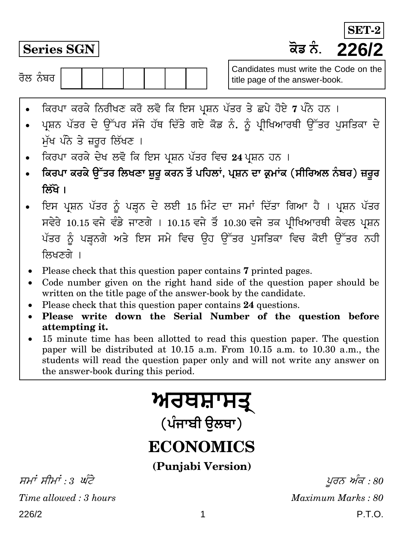**Series SGN H}T ²¥¾. 226/2 SET-**

ਰੋਲ ਨੰਬਰ  $\overline{\phantom{a}}$ 

Candidates must write the Code on the title page of the answer-book.

- ਕਿਰਪਾ ਕਰਕੇ ਨਿਰੀਖਣ ਕਰੋ ਲਵੋ ਕਿ ਇਸ ਪ੍ਰਸ਼ਨ ਪੱਤਰ ਤੇ ਛਪੇ ਹੋਏ 7 ਪੰਨੇ ਹਨ ।
- ਪ੍ਰਸ਼ਨ ਪੱਤਰ ਦੇ ਉੱਪਰ ਸੱਜੇ ਹੱਥ ਦਿੱਤੇ ਗਏ ਕੋਡ ਨੰ. ਨੂੰ ਪ੍ਰੀਖਿਆਰਥੀ ਉੱਤਰ ਪਸਤਿਕਾ ਦੇ ਮੱਖ ਪੰਨੇ ਤੇ ਜ਼ਰਰ ਲਿੱਖਣ**।**
- । ਕਿਰਪਾ ਕਰਕੇ ਦੇਖ ਲਵੋ ਕਿ ਇਸ ਪ੍ਰਸ਼ਨ ਪੱਤਰ ਵਿਚ 24 ਪ੍ਰਸ਼ਨ ਹਨ ।
- **ਕਿਰਪਾ ਕਰਕੇ ੳੱਤਰ ਲਿਖਣਾ ਸ਼ਰ ਕਰਨ ਤੋਂ ਪਹਿਲਾਂ,** ਪ੍ਰਸ਼ਨ ਦਾ ਕ੍ਰਮਾਂਕ (ਸੀਰਿਅਲ ਨੰਬਰ) ਜ਼ਰਰ **क्रिंगे** ।
- ਇਸ ਪ੍ਰਸ਼ਨ ਪੱਤਰ ਨੂੰ ਪੜ੍ਹਨ ਦੇ ਲਈ 15 ਮਿੰਟ ਦਾ ਸਮਾਂ ਦਿੱਤਾ ਗਿਆ ਹੈ । ਪ੍ਰਸ਼ਨ ਪੱਤਰ ਸਵੇਰੇ 10.15 ਵਜੇ ਵੰਡੇ ਜਾਣਗੇ । 10.15 ਵਜੇ ਤੋਂ 10.30 ਵਜੇ ਤਕ ਪੀਖਿਆਰਥੀ ਕੇਵਲ ਪਸ਼ਨ ਪੱਤਰ ਨੂੰ ਪੜ੍ਹਨਗੇ ਅਤੇ ਇਸ ਸਮੇ ਵਿਚ ਉਹ ਉੱਤਰ ਪਸਤਿਕਾ ਵਿਚ ਕੋਈ ਉੱਤਰ ਨਹੀ ਲਿਖਣਗੇ ।
- Please check that this question paper contains **7** printed pages.
- Code number given on the right hand side of the question paper should be written on the title page of the answer-book by the candidate.
- Please check that this question paper contains **24** questions.
- **Please write down the Serial Number of the question before attempting it.**
- 15 minute time has been allotted to read this question paper. The question paper will be distributed at 10.15 a.m. From 10.15 a.m. to 10.30 a.m., the students will read the question paper only and will not write any answer on the answer-book during this period.

# <u>ਅਰਥਸ਼ਾਸਤ੍</u>

(ਪੰਜਾਬੀ **ੳਲ**ਥਾ)

# **ECONOMICS**

**(Punjabi Version)**

226/2 1 P.T.O. ਸਮਾਂ ਸੀਮਾਂ : 3 ਘੰਟੇ $y \in \mathcal{S}$  ,  $y \in \mathcal{S}$ *Time allowed : 3 hours Maximum Marks : 80*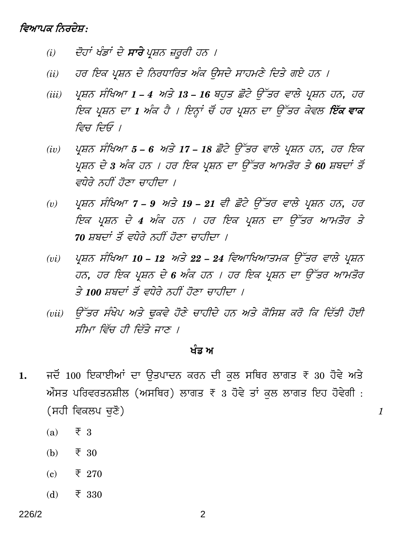## ਵਿਆਪਕ ਨਿਰਦੇਸ਼:

- ਦੋਹਾਂ ਖੰਡਾਂ ਦੇ **ਸਾਰੇ** ਪੁਸ਼ਨ ਜ਼ਰਰੀ ਹਨ ।  $(i)$
- ਹਰ ਇਕ ਪ੍ਰਸ਼ਨ ਦੇ ਨਿਰਧਾਰਿਤ ਅੰਕ ਉਸਦੇ ਸਾਹਮਣੇ ਦਿਤੇ ਗਏ ਹਨ ।  $(ii)$
- $(iii)$ ਪ੍ਰਸ਼ਨ ਸੰਖਿਆ 1 – 4 ਅਤੇ 13 – 16 ਬਹੁਤ ਛੋਟੇ ਉੱਤਰ ਵਾਲੇ ਪ੍ਰਸ਼ਨ ਹਨ, ਹਰ ਇਕ ਪ੍ਰਸ਼ਨ ਦਾ 1 ਅੰਕ ਹੈ । ਇਨ੍ਹਾਂ ਚੋਂ ਹਰ ਪ੍ਰਸ਼ਨ ਦਾ ਉੱਤਰ ਕੇਵਲ **ਇੱਕ ਵਾਕ** ਵਿਚ ਦਿਓ ।
- ਪ੍ਰਸ਼ਨ ਸੰਖਿਆ 5 6 ਅਤੇ 17 18 ਛੋਟੇ ਉੱਤਰ ਵਾਲੇ ਪ੍ਰਸ਼ਨ ਹਨ, ਹਰ ਇਕ  $(iv)$ ਪੁਸ਼ਨ ਦੇ 3 ਅੰਕ ਹਨ । ਹਰ ਇਕ ਪ੍ਰਸ਼ਨ ਦਾ ਉੱਤਰ ਆਮਤੋਰ ਤੇ 60 ਸ਼ਬਦਾਂ ਤੋਂ ਵਧੇਰੇ ਨਹੀਂ ਹੋਣਾ ਚਾਹੀਦਾ ।
- ਪ੍ਰਸ਼ਨ ਸੰਖਿਆ 7 9 ਅਤੇ 19 21 ਵੀ ਛੋਟੇ ਉੱਤਰ ਵਾਲੇ ਪ੍ਰਸ਼ਨ ਹਨ, ਹਰ  $(v)$ ਇਕ ਪ੍ਰਸ਼ਨ ਦੇ 4 ਅੰਕ ਹਨ । ਹਰ ਇਕ ਪ੍ਰਸ਼ਨ ਦਾ ਉੱਤਰ ਆਮਤੋਰ ਤੇ 70 ਸ਼ਬਦਾਂ ਤੋਂ ਵਧੇਰੇ ਨਹੀਂ ਹੋਣਾ ਚਾਹੀਦਾ ।
- ਪ੍ਰਸ਼ਨ ਸੰਖਿਆ 10 12 ਅਤੇ 22 24 ਵਿਆਖਿਆਤਮਕ ਉੱਤਰ ਵਾਲੇ ਪ੍ਰਸ਼ਨ  $(vi)$ ਹਨ, ਹਰ ਇਕ ਪ੍ਰਸ਼ਨ ਦੇ 6 ਅੰਕ ਹਨ । ਹਰ ਇਕ ਪ੍ਰਸ਼ਨ ਦਾ ਉੱਤਰ ਆਮਤੋਰ ਤੇ 100 ਸ਼ਬਦਾਂ ਤੋਂ ਵਧੇਰੇ ਨਹੀਂ ਹੋਣਾ ਚਾਹੀਦਾ ।
- ਉੱਤਰ ਸੰਖੇਪ ਅਤੇ ਢਕਵੇ ਹੋਣੇ ਚਾਹੀਦੇ ਹਨ ਅਤੇ ਕੋਸਿਸ਼ ਕਰੋ ਕਿ ਦਿੱਤੀ ਹੋਈ  $(vii)$ ਸੀਮਾ ਵਿੱਚ ਹੀ ਦਿੱਤੇ ਜਾਣ ।

#### ਖੰਡ ਅ

 $\boldsymbol{\mathit{1}}$ 

- ਜਦੋਂ 100 ਇਕਾਈਆਂ ਦਾ ਉਤਪਾਦਨ ਕਰਨ ਦੀ ਕੁਲ ਸਥਿਰ ਲਾਗਤ ₹ 30 ਹੋਵੇ ਅਤੇ 1. ਔਸਤ ਪਰਿਵਰਤਨਸ਼ੀਲ (ਅਸਥਿਰ) ਲਾਗਤ ₹  $3$  ਹੋਵੇ ਤਾਂ ਕਲ ਲਾਗਤ ਇਹ ਹੋਵੇਗੀ : (ਸਹੀ ਵਿਕਲਪ ਚਣੋ)
	- $(a)$  $\overline{z}$  3
	- $(b)$  $\overline{\xi}$  30
	- $(c)$  $\bar{\tau}$  270
	- $\bar{\tau}$  330 (d)

2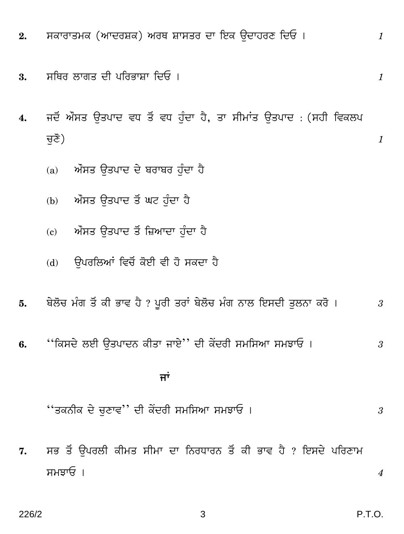- ਸਕਾਰਾਤਮਕ (ਆਦਰਸ਼ਕ) ਅਰਥ ਸ਼ਾਸਤਰ ਦਾ ਇਕ ਉਦਾਹਰਣ ਦਿਓ।  $2.$
- ਸਥਿਰ ਲਾਗਤ ਦੀ ਪਰਿਭਾਸ਼ਾ ਦਿਓ । 3.
- ਜਦੋਂ ਔਸਤ ਉਤਪਾਦ ਵਧ ਤੋਂ ਵਧ ਹੁੰਦਾ ਹੈ, ਤਾ ਸੀਮਾਂਤ ਉਤਪਾਦ : (ਸਹੀ ਵਿਕਲਪ 4. ਚਣੋਂ)
	- ਔਸਤ ਉਤਪਾਦ ਦੇ ਬਰਾਬਰ ਹੁੰਦਾ ਹੈ  $(a)$
	- ਔਸਤ ਉਤਪਾਦ ਤੋਂ ਘਟ ਹੁੰਦਾ ਹੈ  $(b)$
	- (c) ਔਸਤ ਉਤਪਾਦ ਤੋਂ ਜ਼ਿਆਦਾ ਹੁੰਦਾ ਹੈ
	- (d) ਉਪਰਲਿਆਂ ਵਿਚੋਂ ਕੋਈ ਵੀ ਹੋ ਸਕਦਾ ਹੈ
- ਬੇਲੋਚ ਮੰਗ ਤੋਂ ਕੀ ਭਾਵ ਹੈ ? ਪੂਰੀ ਤਰਾਂ ਬੇਲੋਚ ਮੰਗ ਨਾਲ ਇਸਦੀ ਤੁਲਨਾ ਕਰੋ । 5. 3
- ''ਕਿਸਦੇ ਲਈ ਉਤਪਾਦਨ ਕੀਤਾ ਜਾਏ'' ਦੀ ਕੇਂਦਰੀ ਸਮਸਿਆ ਸਮਝਾਓ । 6.  $\mathfrak{z}$

### ਜਾਂ

"ਤਕਨੀਕ ਦੇ ਚੁਣਾਵ'' ਦੀ ਕੇਂਦਰੀ ਸਮਸਿਆ ਸਮਝਾਓ । 3

ਸਭ ਤੋਂ ਉਪਰਲੀ ਕੀਮਤ ਸੀਮਾ ਦਾ ਨਿਰਧਾਰਨ ਤੋਂ ਕੀ ਭਾਵ ਹੈ ? ਇਸਦੇ ਪਰਿਣਾਮ 7. ਸਮਝਾਓ ।

 $\boldsymbol{4}$ 

 $\boldsymbol{1}$ 

 $\boldsymbol{1}$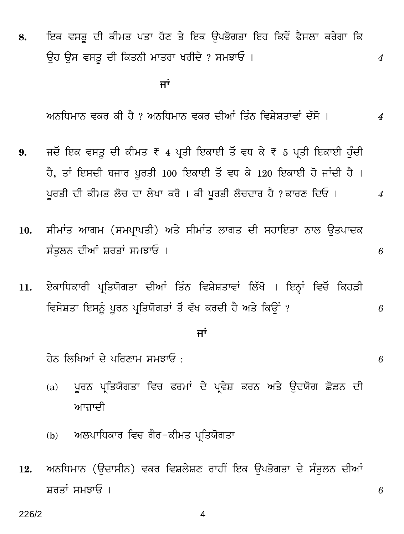8. ਇਕ ਵਸਤੂ ਦੀ ਕੀਮਤ ਪਤਾ ਹੋਣ ਤੇ ਇਕ ਉਪਭੋਗਤਾ ਇਹ ਕਿਵੇਂ ਫੈਸਲਾ ਕਰੇਗਾ ਕਿ Eh Eg egWv Yr qHW²¾r `pWcp IcrYy ? g`PpG & *4*

्यान्तराज्यसम्बद्धाः स्टब्स्<br>सर्वे अपूर्णलेखाः स्टब्स्

<u>ਅਨੁਧਿਮਾਨ ਵਕਰ ਕੀ ਹੈ ? ਅਨੁਧਿਮਾਨ ਵਕਰ ਦੀਆਂ ਤਿੰਨ ਵਿਸ਼ੇਸ਼ਤਾਵਾਂ ਦੱਸੋ । 4</u>

- 9. ਜਦੋਂ ਇਕ ਵਸਤੂ ਦੀ ਕੀਮਤ ₹ 4 ਪ੍ਰਤੀ ਇਕਾਈ ਤੋਂ ਵਧ ਕੇ ₹ 5 ਪ੍ਰਤੀ ਇਕਾਈ ਹੰਦੀ ਹੈ, ਤਾਂ ਇਸਦੀ ਬਜਾਰ ਪੂਰਤੀ 100 ਇਕਾਈ ਤੋਂ ਵਧ ਕੇ 120 ਇਕਾਈ ਹੋ ਜਾਂਦੀ ਹੈ ।  $\mu$ ਰਤੀ ਦੀ ਕੀਮਤ ਲੋਚ ਦਾ ਲੇਖਾ ਕਰੋ । ਕੀ ਪੂਰਤੀ ਲੋਚਦਾਰ ਹੈ ? ਕਾਰਣ ਦਿਓ । 4
- 10. ਸੀਮਾਂਤ ਆਗਮ (ਸਮਪ੍ਰਾਪਤੀ) ਅਤੇ ਸੀਮਾਂਤ ਲਾਗਤ ਦੀ ਸਹਾਇਤਾ ਨਾਲ ਉਤਪਾਦਕ ਸੰਤਲਨ ਦੀਆਂ ਸ਼ਰਤਾਂ ਸਮਝਾਓ ।  $\qquad \qquad 6$
- 11. ਏਕਾਧਿਕਾਰੀ ਪ੍ਰਤਿਯੋਗਤਾ ਦੀਆਂ ਤਿੰਨ ਵਿਸ਼ੇਸ਼ਤਾਵਾਂ ਲਿੱਖੋ । ਇਨ੍ਹਾਂ ਵਿਚੋਂ ਕਿਹੜੀ ਵਿਸੇਸ਼ਤਾ ਇਸਨੂੰ ਪੂਰਨ ਪ੍ਰਤਿਯੋਗਤਾਂ ਤੋਂ ਵੱਖ ਕਰਦੀ ਹੈ ਅਤੇ ਕਿੳਂ ? *6*

### <u>ਜਾਂ</u>

 $\frac{1}{\sqrt{3}}$ ਨ ਲਿਖਿਆਂ ਦੇ ਪਰਿਣਾਮ ਸਮਝਾਓ :  $6$ 

- (a) ਪੂਰਨ ਪ੍ਰਤਿਯੋਗਤਾ ਵਿਚ ਫਰਮਾਂ ਦੇ ਪ੍ਰਵੇਸ਼ ਕਰਨ ਅਤੇ ਉਦਯੋਗ ਛੋੜਨ ਦੀ ਆਜ਼ਾਦੀ
- (b) ਅਲਪਾਧਿਕਾਰ ਵਿਚ ਗੈਰ-ਕੀਮਤ ਪ੍ਰਤਿਯੋਗਤਾ
- 12. ਅਨਧਿਮਾਨ (ਉਦਾਸੀਨ) ਵਕਰ ਵਿਸ਼ਲੇਸ਼ਣ ਰਾਹੀਂ ਇਕ ਉਪਭੋਗਤਾ ਦੇ ਸੰਤੁਲਨ ਦੀਆਂ ਸ਼ਰਤਾਂ ਸਮਝਾਓ ।  $6$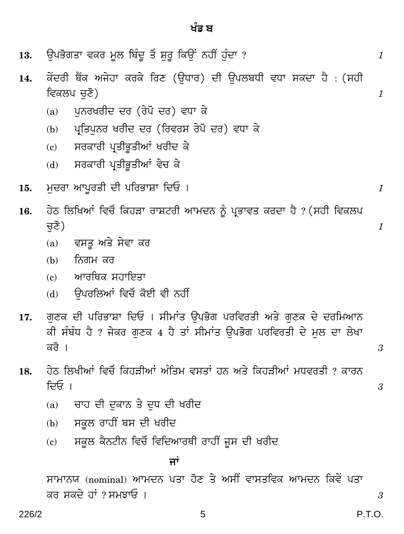13.

14.

ਵਿਕਲਪ ਚੁਣੋ)

ਕੇਂਦਰੀ ਬੈਂਕ ਅਜੇਹਾ ਕਰਕੇ ਰਿਣ (ਉਧਾਰ) ਦੀ ਉਪਲਬਧੀ ਵਧਾ ਸਕਦਾ ਹੈ : (ਸਹੀ

| ਪ੍ਰਤਿਪੁਨਰ ਖਰੀਦ ਦਰ (ਰਿਵਰਸ ਰੇਪੋ ਦਰ) ਵਧਾ ਕੇ<br>(b)                                                                                                |
|------------------------------------------------------------------------------------------------------------------------------------------------|
| ਸਰਕਾਰੀ ਪ੍ਰਤੀਭੂਤੀਆਂ ਖਰੀਦ ਕੇ<br>$\left( \mathbf{c}\right)$                                                                                       |
| ਸਰਕਾਰੀ ਪ੍ਰਤੀਭੂਤੀਆਂ ਵੇਚ ਕੇ<br>(d)                                                                                                               |
| ਮੁਦਰਾ ਆਪੁਰਤੀ ਦੀ ਪਰਿਭਾਸ਼ਾ ਦਿਓ ।                                                                                                                 |
| ਹੇਠ ਲਿਖਿਆਂ ਵਿਚੋਂ ਕਿਹੜਾ ਰਾਸ਼ਟਰੀ ਆਮਦਨ ਨੂੰ ਪ੍ਰਭਾਵਤ ਕਰਦਾ ਹੈ ? (ਸਹੀ ਵਿਕਲਪ                                                                           |
| ਚੁਣੋ)                                                                                                                                          |
| ਵਸਤੂ ਅਤੇ ਸੇਵਾ ਕਰ<br>(a)                                                                                                                        |
| ਨਿਗਮ ਕਰ<br>(b)                                                                                                                                 |
| ਆਰਥਿਕ ਸਹਾਇਤਾ<br>(c)                                                                                                                            |
| ਉਪਰਲਿਆਂ ਵਿਚੋਂ ਕੋਈ ਵੀ ਨਹੀਂ<br>(d)                                                                                                               |
| ਗਣਕ ਦੀ ਪਰਿਭਾਸ਼ਾ ਦਿਓ । ਸੀਮਾਂਤ ਉਪਭੋਗ ਪਰਵਿਰਤੀ ਅਤੇ ਗੁਣਕ ਦੇ ਦਰਮਿਆਨ<br>ਕੀ ਸੰਬੰਧ ਹੈ ? ਜੇਕਰ ਗੁਣਕ 4 ਹੈ ਤਾਂ ਸੀਮਾਂਤ ਉਪਭੋਗ ਪਰਵਿਰਤੀ ਦੇ ਮੁਲ ਦਾ ਲੇਖਾ<br>ਕਰੋ । |
| ਹੇਠ ਲਿਖੀਆਂ ਵਿਚੋਂ ਕਿਹੜੀਆਂ ਅੰਤਿਮ ਵਸਤਾਂ ਹਨ ਅਤੇ ਕਿਹੜੀਆਂ ਮਧਵਰਤੀ ? ਕਾਰਨ<br>ਦਿਓ ।                                                                     |
| ਚਾਹ ਦੀ ਦੁਕਾਨ ਤੇ ਦੁਧ ਦੀ ਖਰੀਦ<br>(a)                                                                                                             |
| ਸਕੂਲ ਰਾਹੀਂ ਬਸ ਦੀ ਖਰੀਦ<br>(b)                                                                                                                   |
| ਸਕੂਲ ਕੈਨਟੀਨ ਵਿਚੋਂ ਵਿਦਿਆਰਥੀ ਰਾਹੀਂ ਜੂਸ ਦੀ ਖਰੀਦ<br>(c)                                                                                            |

ਪਨਰਖਰੀਦ ਦਰ (ਰੇਪੋ ਦਰ) ਵਧਾ ਕੇ  $(a)$ 

ਉਪਭੋਗਤਾ ਵਕਰ ਮੂਲ ਬਿੰਦੂ ਤੋਂ ਸ਼ੁਰੂ ਕਿਉਂ ਨਹੀਂ ਹੁੰਦਾ ?

- 15.
- 16.

- 17.
- 18.

ਜਾਂ

ਸਾਮਾਨਯ (nominal) ਆਮਦਨ ਪਤਾ ਹੋਣ ਤੇ ਅਸੀਂ ਵਾਸਤਵਿਕ ਆਮਦਨ ਕਿਵੇਂ ਪਤਾ ਕਰ ਸਕਦੇ ਹਾਂ ? ਸਮਝਾਓ ।

 $\mathfrak{z}$ 

 $\mathcal{I}$ 

 $\mathcal{I}$ 

 $\boldsymbol{1}$ 

 $\boldsymbol{\mathit{1}}$ 

 $\mathfrak{3}$ 

 $\overline{3}$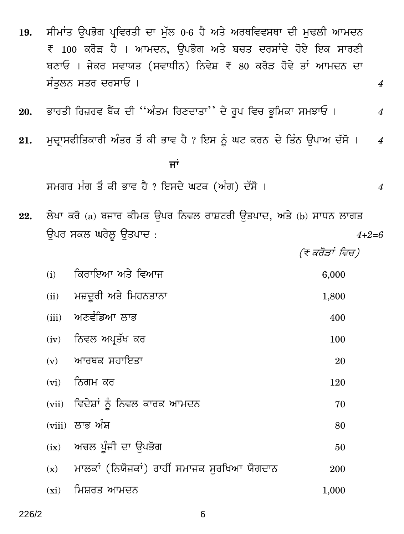ਸੀਮਾਂਤ ਉਪਭੋਗ ਪਵਿਰਤੀ ਦਾ ਮੱਲ 0.6 ਹੈ ਅਤੇ ਅਰਥਵਿਵਸਥਾ ਦੀ ਮਢਲੀ ਆਮਦਨ 19. ₹ 100 ਕਰੋੜ ਹੈ । ਆਮਦਨ, ਉਪਭੋਗ ਅਤੇ ਬਚਤ ਦਰਸਾਂਦੇ ਹੋਏ ਇਕ ਸਾਰਣੀ ਬਣਾਓ । ਜੇਕਰ ਸਵਾਯਤ (ਸਵਾਧੀਨ) ਨਿਵੇਸ਼ ₹ 80 ਕਰੋੜ ਹੋਵੇ ਤਾਂ ਆਮਦਨ ਦਾ ਸੰਤਲਨ ਸਤਰ ਦਰਸਾਓ ।

- ਭਾਰਤੀ ਰਿਜ਼ਰਵ ਬੈਂਕ ਦੀ "ਅੰਤਮ ਰਿਣਦਾਤਾ'' ਦੇ ਰੂਪ ਵਿਚ ਭੂਮਿਕਾ ਸਮਝਾਓ । 20.
- ਮੁਦ੍ਰਾਸਫੀਤਿਕਾਰੀ ਅੰਤਰ ਤੋਂ ਕੀ ਭਾਵ ਹੈ ? ਇਸ ਨੂੰ ਘਟ ਕਰਨ ਦੇ ਤਿੰਨ ਉਪਾਅ ਦੱਸੋ । 21.  $\overline{4}$

ਜਾਂ

ਸਮਗਰ ਮੰਗ ਤੋਂ ਕੀ ਭਾਵ ਹੈ ? ਇਸਦੇ ਘਟਕ (ਅੰਗ) ਦੱਸੋ ।

ਲੇਖਾ ਕਰੋ (a) ਬਜਾਰ ਕੀਮਤ ਉਪਰ ਨਿਵਲ ਰਾਸ਼ਟਰੀ ਉਤਪਾਦ, ਅਤੇ (b) ਸਾਧਨ ਲਾਗਤ 22. ਉਪਰ ਸਕਲ ਘਰੇਲ਼ ਉਤਪਾਦ :

(ਞ ਕਰੋੜਾਂ ਵਿਚ)

| (i)  | ਕਿਰਾਇਆ ਅਤੇ ਵਿਆਜ                                | 6,000 |
|------|------------------------------------------------|-------|
|      | (ii) ਮਜ਼ਦੂਰੀ ਅਤੇ ਮਿਹਨਤਾਨਾ                      | 1,800 |
|      | (iii) ਅਣਵੰਡਿਆ ਲਾਭ                              | 400   |
|      | (iv) ਨਿਵਲ ਅਪ੍ਰਤੱਖ ਕਰ                           | 100   |
|      | (v) ਆਰਥਕ ਸਹਾਇਤਾ                                | 20    |
|      | (vi) ਨਿਗਮ ਕਰ                                   | 120   |
|      | <u>(vii) ਵਿਦੇਸ਼ਾਂ ਨੂੰ ਨਿਵਲ ਕਾਰਕ ਆਮਦਨ</u>       | 70    |
|      | (viii) ਲਾਭ ਅੰਸ਼                                | 80    |
|      | (ix) ਅਚਲ ਪੁੰਜੀ ਦਾ ਉਪਭੋਗ                        | 50    |
|      | (x) ਮਾਲਕਾਂ (ਨਿਯੋਜਕਾਂ) ਰਾਹੀਂ ਸਮਾਜਕ ਸਰਖਿਆ ਯੋਗਦਾਨ | 200   |
| (xi) | ਸਿਸ਼ਰਤ ਆਮਦਨ                                    | 1,000 |

6

 $\overline{4}$ 

 $\overline{4}$ 

 $\overline{4}$ 

 $4 + 2 = 6$